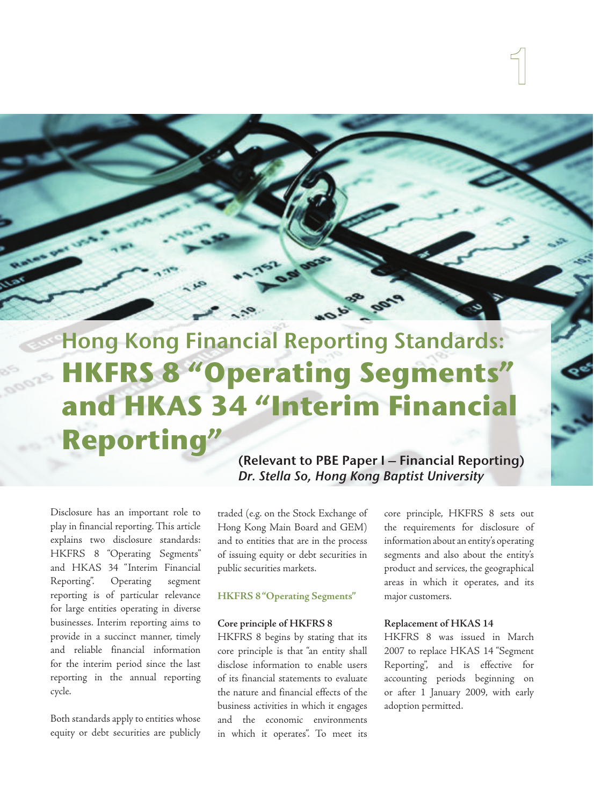# Hong Kong Financial Reporting Standards: **HKFRS 8 "Operating Segments" and HKAS 34 "Interim Financial Reporting"**

Disclosure has an important role to play in financial reporting. This article explains two disclosure standards: HKFRS 8 "Operating Segments" and HKAS 34 "Interim Financial Reporting". Operating segment reporting is of particular relevance for large entities operating in diverse businesses. Interim reporting aims to provide in a succinct manner, timely and reliable financial information for the interim period since the last reporting in the annual reporting cycle.

Both standards apply to entities whose equity or debt securities are publicly (Relevant to PBE Paper I – Financial Reporting) Dr. Stella So, Hong Kong Baptist University

traded (e.g. on the Stock Exchange of Hong Kong Main Board and GEM) and to entities that are in the process of issuing equity or debt securities in public securities markets.

# **HKFRS 8 "Operating Segments"**

#### **Core principle of HKFRS 8**

HKFRS 8 begins by stating that its core principle is that "an entity shall disclose information to enable users of its financial statements to evaluate the nature and financial effects of the business activities in which it engages and the economic environments in which it operates". To meet its

core principle, HKFRS 8 sets out the requirements for disclosure of information about an entity's operating segments and also about the entity's product and services, the geographical areas in which it operates, and its major customers.

# **Replacement of HKAS 14**

HKFRS 8 was issued in March 2007 to replace HKAS 14 "Segment Reporting", and is effective for accounting periods beginning on or after 1 January 2009, with early adoption permitted.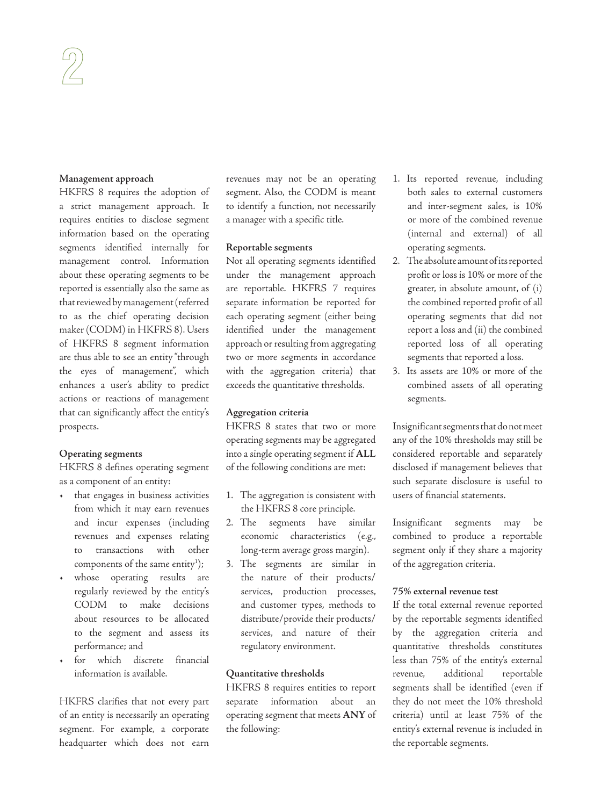#### **Management approach**

HKFRS 8 requires the adoption of a strict management approach. It requires entities to disclose segment information based on the operating segments identified internally for management control. Information about these operating segments to be reported is essentially also the same as that reviewed by management (referred to as the chief operating decision maker (CODM) in HKFRS 8). Users of HKFRS 8 segment information are thus able to see an entity "through the eyes of management", which enhances a user's ability to predict actions or reactions of management that can significantly affect the entity's prospects.

# **Operating segments**

HKFRS 8 defines operating segment as a component of an entity:

- that engages in business activities from which it may earn revenues and incur expenses (including revenues and expenses relating to transactions with other components of the same entity<sup>1</sup>);
- whose operating results are regularly reviewed by the entity's CODM to make decisions about resources to be allocated to the segment and assess its performance; and
- for which discrete financial information is available.

HKFRS clarifies that not every part of an entity is necessarily an operating segment. For example, a corporate headquarter which does not earn

revenues may not be an operating segment. Also, the CODM is meant to identify a function, not necessarily a manager with a specific title.

#### **Reportable segments**

Not all operating segments identified under the management approach are reportable. HKFRS 7 requires separate information be reported for each operating segment (either being identified under the management approach or resulting from aggregating two or more segments in accordance with the aggregation criteria) that exceeds the quantitative thresholds.

#### **Aggregation criteria**

HKFRS 8 states that two or more operating segments may be aggregated into a single operating segment if **ALL** of the following conditions are met:

- 1. The aggregation is consistent with the HKFRS 8 core principle.
- 2. The segments have similar economic characteristics (e.g., long-term average gross margin).
- 3. The segments are similar in the nature of their products/ services, production processes, and customer types, methods to distribute/provide their products/ services, and nature of their regulatory environment.

#### **Quantitative thresholds**

HKFRS 8 requires entities to report separate information about an operating segment that meets **ANY** of the following:

- 1. Its reported revenue, including both sales to external customers and inter-segment sales, is 10% or more of the combined revenue (internal and external) of all operating segments.
- 2. The absolute amount of its reported profit or loss is 10% or more of the greater, in absolute amount, of (i) the combined reported profit of all operating segments that did not report a loss and (ii) the combined reported loss of all operating segments that reported a loss.
- 3. Its assets are 10% or more of the combined assets of all operating segments.

Insignificant segments that do not meet any of the 10% thresholds may still be considered reportable and separately disclosed if management believes that such separate disclosure is useful to users of financial statements.

Insignificant segments may be combined to produce a reportable segment only if they share a majority of the aggregation criteria.

#### **75% external revenue test**

If the total external revenue reported by the reportable segments identified by the aggregation criteria and quantitative thresholds constitutes less than 75% of the entity's external revenue, additional reportable segments shall be identified (even if they do not meet the 10% threshold criteria) until at least 75% of the entity's external revenue is included in the reportable segments.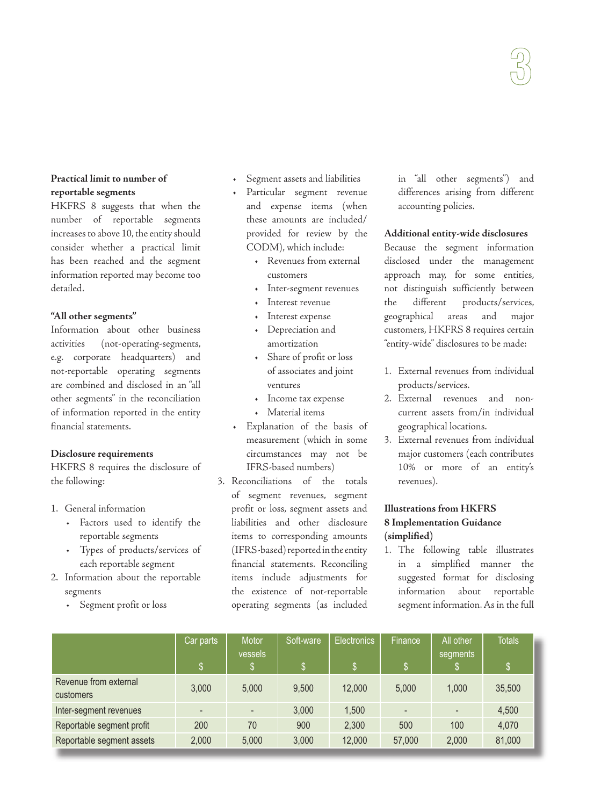# **Practical limit to number of reportable segments**

HKFRS 8 suggests that when the number of reportable segments increases to above 10, the entity should consider whether a practical limit has been reached and the segment information reported may become too detailed.

# **"All other segments"**

Information about other business activities (not-operating-segments, e.g. corporate headquarters) and not-reportable operating segments are combined and disclosed in an "all other segments" in the reconciliation of information reported in the entity financial statements.

# **Disclosure requirements**

HKFRS 8 requires the disclosure of the following:

- 1. General information
	- Factors used to identify the reportable segments
	- Types of products/services of each reportable segment
- 2. Information about the reportable segments
	- Segment profit or loss
- Segment assets and liabilities
- Particular segment revenue and expense items (when these amounts are included/ provided for review by the CODM), which include:
	- Revenues from external customers
	- Inter-segment revenues
	- Interest revenue
	- Interest expense
	- Depreciation and amortization
	- Share of profit or loss of associates and joint ventures
	- Income tax expense
	- Material items
- Explanation of the basis of measurement (which in some circumstances may not be IFRS-based numbers)
- 3. Reconciliations of the totals of segment revenues, segment profit or loss, segment assets and liabilities and other disclosure items to corresponding amounts (IFRS-based) reported in the entity financial statements. Reconciling items include adjustments for the existence of not-reportable operating segments (as included

in "all other segments") and differences arising from different accounting policies.

# **Additional entity-wide disclosures**

Because the segment information disclosed under the management approach may, for some entities, not distinguish sufficiently between the different products/services, geographical areas and major customers, HKFRS 8 requires certain "entity-wide" disclosures to be made:

- 1. External revenues from individual products/services.
- 2. External revenues and noncurrent assets from/in individual geographical locations.
- 3. External revenues from individual major customers (each contributes 10% or more of an entity's revenues).

# **Illustrations from HKFRS 8 Implementation Guidance (simplified)**

1. The following table illustrates in a simplified manner the suggested format for disclosing information about reportable segment information. As in the full

|                                    | Car parts                | Motor<br>vessels         | Soft-ware | Electronics | Finance        | All other<br>segments | <b>Totals</b> |
|------------------------------------|--------------------------|--------------------------|-----------|-------------|----------------|-----------------------|---------------|
|                                    | '\$                      |                          | ß.        | \$          |                |                       | 'S.           |
| Revenue from external<br>customers | 3,000                    | 5.000                    | 9,500     | 12,000      | 5.000          | 1.000                 | 35,500        |
| Inter-segment revenues             | $\overline{\phantom{a}}$ | $\overline{\phantom{a}}$ | 3,000     | 1,500       | $\overline{a}$ |                       | 4,500         |
| Reportable segment profit          | 200                      | 70                       | 900       | 2,300       | 500            | 100                   | 4,070         |
| Reportable segment assets          | 2,000                    | 5.000                    | 3,000     | 12,000      | 57,000         | 2,000                 | 81,000        |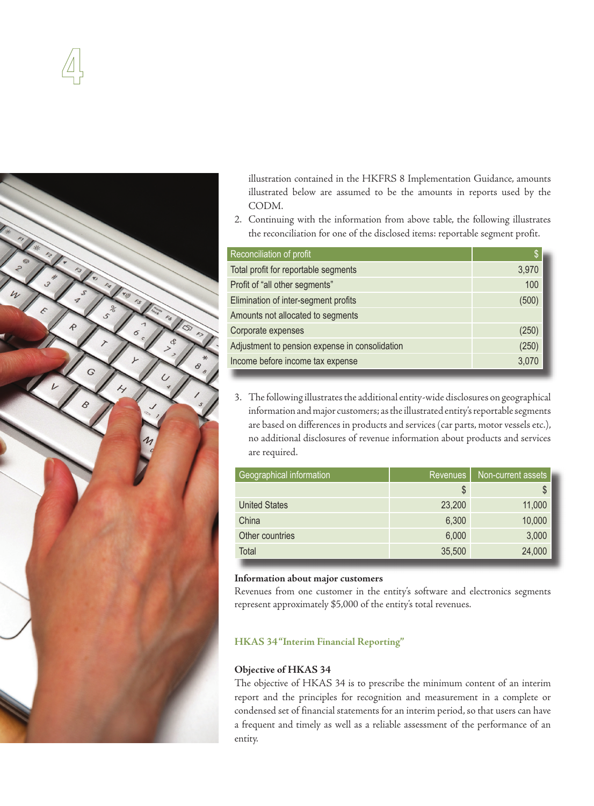



illustration contained in the HKFRS 8 Implementation Guidance, amounts illustrated below are assumed to be the amounts in reports used by the CODM.

2. Continuing with the information from above table, the following illustrates the reconciliation for one of the disclosed items: reportable segment profit.

| Reconciliation of profit                       | $\mathsf{S}$ |
|------------------------------------------------|--------------|
| Total profit for reportable segments           | 3,970        |
| Profit of "all other segments"                 | 100          |
| Elimination of inter-segment profits           | (500)        |
| Amounts not allocated to segments              |              |
| Corporate expenses                             | (250)        |
| Adjustment to pension expense in consolidation | (250)        |
| Income before income tax expense               | 3,070        |

3. The following illustrates the additional entity-wide disclosures on geographical information and major customers; as the illustrated entity's reportable segments are based on differences in products and services (car parts, motor vessels etc.), no additional disclosures of revenue information about products and services are required.

| Geographical information | Revenues | Non-current assets |
|--------------------------|----------|--------------------|
|                          | \$       | \$                 |
| <b>United States</b>     | 23,200   | 11,000             |
| China                    | 6,300    | 10,000             |
| Other countries          | 6,000    | 3,000              |
| Total                    | 35,500   | 24,000             |

# **Information about major customers**

Revenues from one customer in the entity's software and electronics segments represent approximately \$5,000 of the entity's total revenues.

# **HKAS 34 "Interim Financial Reporting"**

# **Objective of HKAS 34**

The objective of HKAS 34 is to prescribe the minimum content of an interim report and the principles for recognition and measurement in a complete or condensed set of financial statements for an interim period, so that users can have a frequent and timely as well as a reliable assessment of the performance of an entity.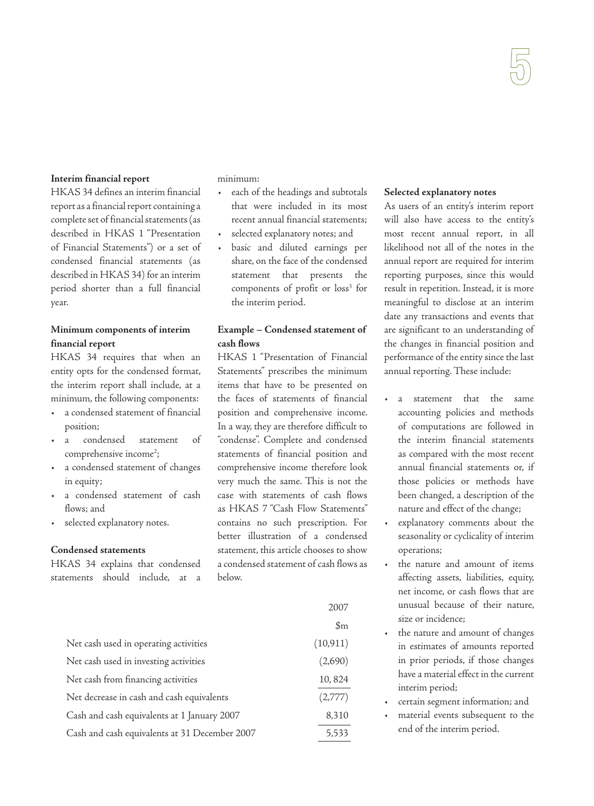#### **Interim financial report**

HKAS 34 defines an interim financial report as a financial report containing a complete set of financial statements (as described in HKAS 1 "Presentation of Financial Statements") or a set of condensed financial statements (as described in HKAS 34) for an interim period shorter than a full financial year.

# **Minimum components of interim financial report**

HKAS 34 requires that when an entity opts for the condensed format, the interim report shall include, at a minimum, the following components:

- a condensed statement of financial position;
- a condensed statement of comprehensive income<sup>2</sup>;
- a condensed statement of changes in equity;
- a condensed statement of cash flows; and
- selected explanatory notes.

#### **Condensed statements**

HKAS 34 explains that condensed statements should include, at a minimum:

- each of the headings and subtotals that were included in its most recent annual financial statements;
- selected explanatory notes; and
- basic and diluted earnings per share, on the face of the condensed statement that presents the components of profit or loss<sup>3</sup> for the interim period.

# **Example – Condensed statement of cash flows**

HKAS 1 "Presentation of Financial Statements" prescribes the minimum items that have to be presented on the faces of statements of financial position and comprehensive income. In a way, they are therefore difficult to "condense". Complete and condensed statements of financial position and comprehensive income therefore look very much the same. This is not the case with statements of cash flows as HKAS 7 "Cash Flow Statements" contains no such prescription. For better illustration of a condensed statement, this article chooses to show a condensed statement of cash flows as below.

|                                               | 2007           |
|-----------------------------------------------|----------------|
|                                               | $\mathfrak{m}$ |
| Net cash used in operating activities         | (10, 911)      |
| Net cash used in investing activities         | (2,690)        |
| Net cash from financing activities            | 10,824         |
| Net decrease in cash and cash equivalents     | (2,777)        |
| Cash and cash equivalents at 1 January 2007   | 8,310          |
| Cash and cash equivalents at 31 December 2007 | 5,533          |

#### **Selected explanatory notes**

As users of an entity's interim report will also have access to the entity's most recent annual report, in all likelihood not all of the notes in the annual report are required for interim reporting purposes, since this would result in repetition. Instead, it is more meaningful to disclose at an interim date any transactions and events that are significant to an understanding of the changes in financial position and performance of the entity since the last annual reporting. These include:

- a statement that the same accounting policies and methods of computations are followed in the interim financial statements as compared with the most recent annual financial statements or, if those policies or methods have been changed, a description of the nature and effect of the change;
- explanatory comments about the seasonality or cyclicality of interim operations;
- the nature and amount of items affecting assets, liabilities, equity, net income, or cash flows that are unusual because of their nature, size or incidence;
- the nature and amount of changes in estimates of amounts reported in prior periods, if those changes have a material effect in the current interim period;
- certain segment information; and
- material events subsequent to the end of the interim period.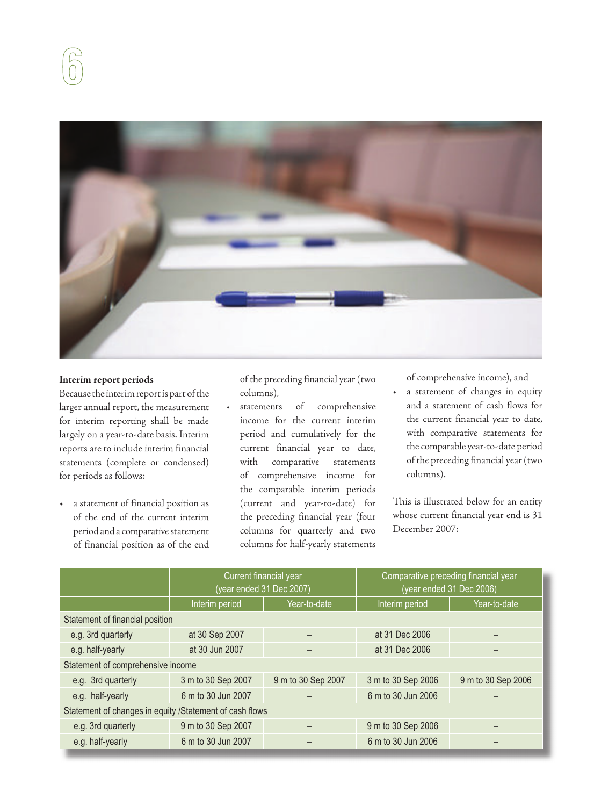

# **Interim report periods**

Because the interim report is part of the larger annual report, the measurement for interim reporting shall be made largely on a year-to-date basis. Interim reports are to include interim financial statements (complete or condensed) for periods as follows:

a statement of financial position as of the end of the current interim period and a comparative statement of financial position as of the end of the preceding financial year (two columns),

statements of comprehensive income for the current interim period and cumulatively for the current financial year to date, with comparative statements of comprehensive income for the comparable interim periods (current and year-to-date) for the preceding financial year (four columns for quarterly and two columns for half-yearly statements

of comprehensive income), and

• a statement of changes in equity and a statement of cash flows for the current financial year to date, with comparative statements for the comparable year-to-date period of the preceding financial year (two columns).

This is illustrated below for an entity whose current financial year end is 31 December 2007:

|                                                         | Current financial year | (year ended 31 Dec 2007) | Comparative preceding financial year<br>(year ended 31 Dec 2006) |                    |  |  |
|---------------------------------------------------------|------------------------|--------------------------|------------------------------------------------------------------|--------------------|--|--|
|                                                         | Interim period         | Year-to-date             | Interim period                                                   | Year-to-date       |  |  |
| Statement of financial position                         |                        |                          |                                                                  |                    |  |  |
| e.g. 3rd quarterly                                      | at 30 Sep 2007         |                          | at 31 Dec 2006                                                   |                    |  |  |
| e.g. half-yearly                                        | at 30 Jun 2007         |                          | at 31 Dec 2006                                                   |                    |  |  |
| Statement of comprehensive income                       |                        |                          |                                                                  |                    |  |  |
| e.g. 3rd quarterly                                      | 3 m to 30 Sep 2007     | 9 m to 30 Sep 2007       | 3 m to 30 Sep 2006                                               | 9 m to 30 Sep 2006 |  |  |
| e.g. half-yearly                                        | 6 m to 30 Jun 2007     |                          | 6 m to 30 Jun 2006                                               |                    |  |  |
| Statement of changes in equity /Statement of cash flows |                        |                          |                                                                  |                    |  |  |
| e.g. 3rd quarterly                                      | 9 m to 30 Sep 2007     |                          | 9 m to 30 Sep 2006                                               |                    |  |  |
| e.g. half-yearly                                        | 6 m to 30 Jun 2007     |                          | 6 m to 30 Jun 2006                                               |                    |  |  |